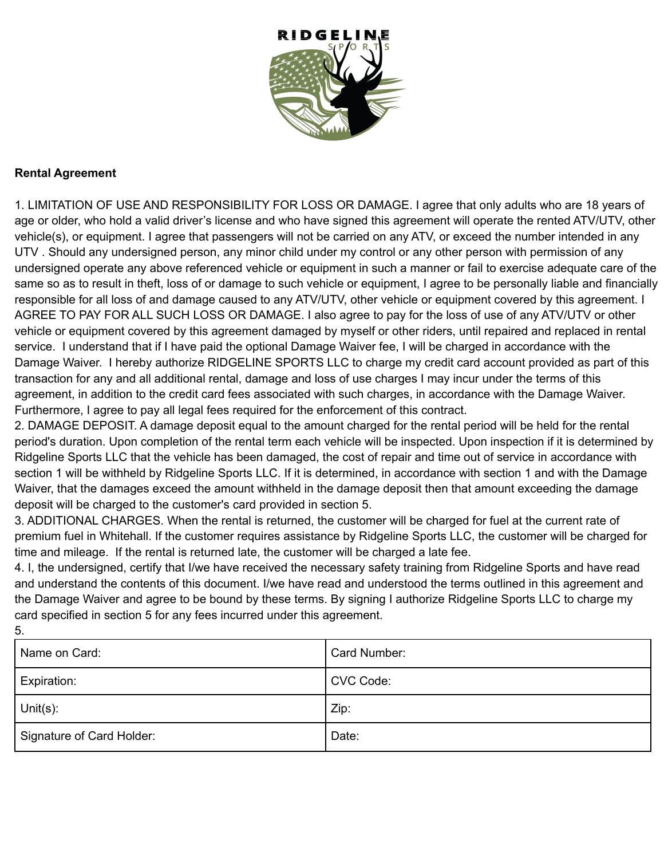

## **Rental Agreement**

5.

1. LIMITATION OF USE AND RESPONSIBILITY FOR LOSS OR DAMAGE. I agree that only adults who are 18 years of age or older, who hold a valid driver's license and who have signed this agreement will operate the rented ATV/UTV, other vehicle(s), or equipment. I agree that passengers will not be carried on any ATV, or exceed the number intended in any UTV . Should any undersigned person, any minor child under my control or any other person with permission of any undersigned operate any above referenced vehicle or equipment in such a manner or fail to exercise adequate care of the same so as to result in theft, loss of or damage to such vehicle or equipment, I agree to be personally liable and financially responsible for all loss of and damage caused to any ATV/UTV, other vehicle or equipment covered by this agreement. I AGREE TO PAY FOR ALL SUCH LOSS OR DAMAGE. I also agree to pay for the loss of use of any ATV/UTV or other vehicle or equipment covered by this agreement damaged by myself or other riders, until repaired and replaced in rental service. I understand that if I have paid the optional Damage Waiver fee, I will be charged in accordance with the Damage Waiver. I hereby authorize RIDGELINE SPORTS LLC to charge my credit card account provided as part of this transaction for any and all additional rental, damage and loss of use charges I may incur under the terms of this agreement, in addition to the credit card fees associated with such charges, in accordance with the Damage Waiver. Furthermore, I agree to pay all legal fees required for the enforcement of this contract.

2. DAMAGE DEPOSIT. A damage deposit equal to the amount charged for the rental period will be held for the rental period's duration. Upon completion of the rental term each vehicle will be inspected. Upon inspection if it is determined by Ridgeline Sports LLC that the vehicle has been damaged, the cost of repair and time out of service in accordance with section 1 will be withheld by Ridgeline Sports LLC. If it is determined, in accordance with section 1 and with the Damage Waiver, that the damages exceed the amount withheld in the damage deposit then that amount exceeding the damage deposit will be charged to the customer's card provided in section 5.

3. ADDITIONAL CHARGES. When the rental is returned, the customer will be charged for fuel at the current rate of premium fuel in Whitehall. If the customer requires assistance by Ridgeline Sports LLC, the customer will be charged for time and mileage. If the rental is returned late, the customer will be charged a late fee.

4. I, the undersigned, certify that I/we have received the necessary safety training from Ridgeline Sports and have read and understand the contents of this document. I/we have read and understood the terms outlined in this agreement and the Damage Waiver and agree to be bound by these terms. By signing I authorize Ridgeline Sports LLC to charge my card specified in section 5 for any fees incurred under this agreement.

| Name on Card:             | Card Number: |
|---------------------------|--------------|
| Expiration:               | CVC Code:    |
| Unit $(s)$ :              | Zip:         |
| Signature of Card Holder: | Date:        |